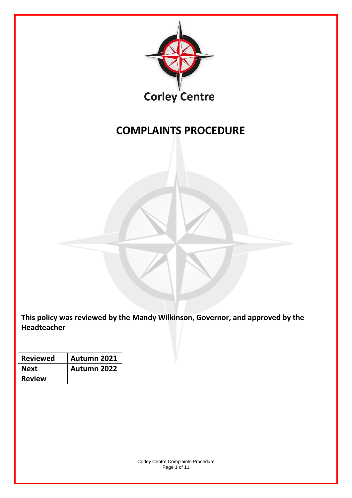

# **COMPLAINTS PROCEDURE**

**This policy was reviewed by the Mandy Wilkinson, Governor, and approved by the Headteacher** 

| <b>Reviewed</b> | Autumn 2021 |  |  |  |  |
|-----------------|-------------|--|--|--|--|
| Next            | Autumn 2022 |  |  |  |  |
| <b>Review</b>   |             |  |  |  |  |

Corley Centre Complaints Procedure Page 1 of 11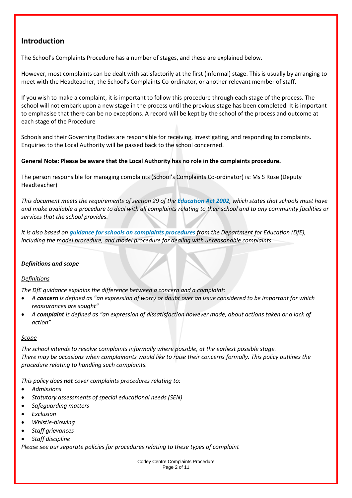## **Introduction**

The School's Complaints Procedure has a number of stages, and these are explained below.

However, most complaints can be dealt with satisfactorily at the first (informal) stage. This is usually by arranging to meet with the Headteacher, the School's Complaints Co-ordinator, or another relevant member of staff.

If you wish to make a complaint, it is important to follow this procedure through each stage of the process. The school will not embark upon a new stage in the process until the previous stage has been completed. It is important to emphasise that there can be no exceptions. A record will be kept by the school of the process and outcome at each stage of the Procedure

Schools and their Governing Bodies are responsible for receiving, investigating, and responding to complaints. Enquiries to the Local Authority will be passed back to the school concerned.

## **General Note: Please be aware that the Local Authority has no role in the complaints procedure.**

The person responsible for managing complaints (School's Complaints Co-ordinator) is: Ms S Rose (Deputy Headteacher)

*This document meets the requirements of section 29 of the [Education Act 2002](http://www.legislation.gov.uk/ukpga/2002/32/section/29), which states that schools must have and make available a procedure to deal with all complaints relating to their school and to any community facilities or services that the school provides.* 

*It is also based on [guidance for schools on complaints procedures](https://www.gov.uk/government/publications/school-complaints-procedures) from the Department for Education (DfE), including the model procedure, and model procedure for dealing with unreasonable complaints.*

## *Definitions and scope*

## *Definitions*

*The DfE guidance explains the difference between a concern and a complaint:* 

- *A concern is defined as "an expression of worry or doubt over an issue considered to be important for which reassurances are sought"*
- *A complaint is defined as "an expression of dissatisfaction however made, about actions taken or a lack of action"*

### *Scope*

*The school intends to resolve complaints informally where possible, at the earliest possible stage. There may be occasions when complainants would like to raise their concerns formally. This policy outlines the procedure relating to handling such complaints.*

*This policy does not cover complaints procedures relating to:*

- *Admissions*
- *Statutory assessments of special educational needs (SEN)*
- *Safeguarding matters*
- *Exclusion*
- *Whistle-blowing*
- *Staff grievances*
- *Staff discipline*

*Please see our separate policies for procedures relating to these types of complaint*

Corley Centre Complaints Procedure Page 2 of 11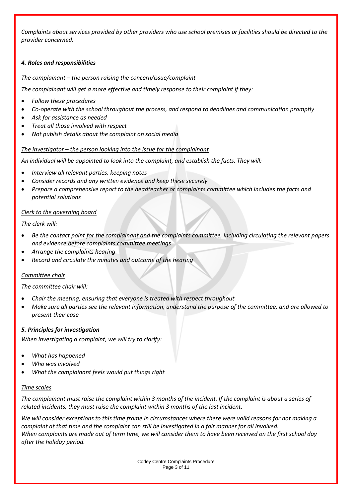*Complaints about services provided by other providers who use school premises or facilities should be directed to the provider concerned.*

## *4. Roles and responsibilities*

## *The complainant – the person raising the concern/issue/complaint*

*The complainant will get a more effective and timely response to their complaint if they:* 

- *Follow these procedures*
- *Co-operate with the school throughout the process, and respond to deadlines and communication promptly*
- *Ask for assistance as needed*
- *Treat all those involved with respect*
- *Not publish details about the complaint on social media*

## *The investigator – the person looking into the issue for the complainant*

*An individual will be appointed to look into the complaint, and establish the facts. They will:* 

- *Interview all relevant parties, keeping notes*
- *Consider records and any written evidence and keep these securely*
- *Prepare a comprehensive report to the headteacher or complaints committee which includes the facts and potential solutions*

## *Clerk to the governing board*

*The clerk will:*

- *Be the contact point for the complainant and the complaints committee, including circulating the relevant papers and evidence before complaints committee meetings*
- *Arrange the complaints hearing*
- *Record and circulate the minutes and outcome of the hearing*

### *Committee chair*

*The committee chair will:* 

- *Chair the meeting, ensuring that everyone is treated with respect throughout*
- *Make sure all parties see the relevant information, understand the purpose of the committee, and are allowed to present their case*

### *5. Principles for investigation*

*When investigating a complaint, we will try to clarify:*

- *What has happened*
- *Who was involved*
- *What the complainant feels would put things right*

### *Time scales*

*The complainant must raise the complaint within 3 months of the incident. If the complaint is about a series of related incidents, they must raise the complaint within 3 months of the last incident.* 

*We will consider exceptions to this time frame in circumstances where there were valid reasons for not making a complaint at that time and the complaint can still be investigated in a fair manner for all involved. When complaints are made out of term time, we will consider them to have been received on the first school day after the holiday period.* 

> Corley Centre Complaints Procedure Page 3 of 11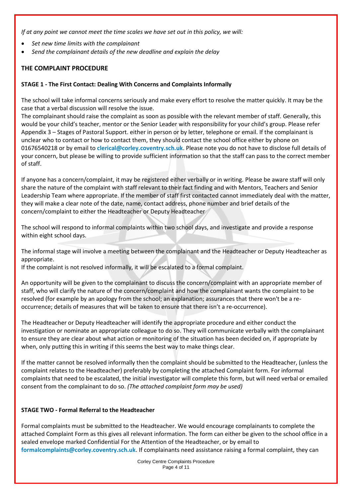*If at any point we cannot meet the time scales we have set out in this policy, we will:* 

- *Set new time limits with the complainant*
- *Send the complainant details of the new deadline and explain the delay*

## **THE COMPLAINT PROCEDURE**

## **STAGE 1 - The First Contact: Dealing With Concerns and Complaints Informally**

The school will take informal concerns seriously and make every effort to resolve the matter quickly. It may be the case that a verbal discussion will resolve the issue.

The complainant should raise the complaint as soon as possible with the relevant member of staff. Generally, this would be your child's teacher, mentor or the Senior Leader with responsibility for your child's group. Please refer Appendix 3 – Stages of Pastoral Support. either in person or by letter, telephone or email. If the complainant is unclear who to contact or how to contact them, they should contact the school office either by phone on 01676540218 or by email to **[clerical@corley.coventry.sch.uk](mailto:clerical@corley.coventry.sch.uk)**. Please note you do not have to disclose full details of your concern, but please be willing to provide sufficient information so that the staff can pass to the correct member of staff.

If anyone has a concern/complaint, it may be registered either verbally or in writing. Please be aware staff will only share the nature of the complaint with staff relevant to their fact finding and with Mentors, Teachers and Senior Leadership Team where appropriate. If the member of staff first contacted cannot immediately deal with the matter, they will make a clear note of the date, name, contact address, phone number and brief details of the concern/complaint to either the Headteacher or Deputy Headteacher

The school will respond to informal complaints within two school days, and investigate and provide a response within eight school days.

The informal stage will involve a meeting between the complainant and the Headteacher or Deputy Headteacher as appropriate.

If the complaint is not resolved informally, it will be escalated to a formal complaint.

An opportunity will be given to the complainant to discuss the concern/complaint with an appropriate member of staff, who will clarify the nature of the concern/complaint and how the complainant wants the complaint to be resolved (for example by an apology from the school; an explanation; assurances that there won't be a reoccurrence; details of measures that will be taken to ensure that there isn't a re-occurrence).

The Headteacher or Deputy Headteacher will identify the appropriate procedure and either conduct the investigation or nominate an appropriate colleague to do so. They will communicate verbally with the complainant to ensure they are clear about what action or monitoring of the situation has been decided on, if appropriate by when, only putting this in writing if this seems the best way to make things clear.

If the matter cannot be resolved informally then the complaint should be submitted to the Headteacher, (unless the complaint relates to the Headteacher) preferably by completing the attached Complaint form. For informal complaints that need to be escalated, the initial investigator will complete this form, but will need verbal or emailed consent from the complainant to do so. *(The attached complaint form may be used)*

## **STAGE TWO - Formal Referral to the Headteacher**

Formal complaints must be submitted to the Headteacher. We would encourage complainants to complete the attached Complaint Form as this gives all relevant information. The form can either be given to the school office in a sealed envelope marked Confidential For the Attention of the Headteacher, or by email to **[formalcomplaints@corley.coventry.sch.uk](mailto:formalcomplaints@corley.coventry.sch.uk)**. If complainants need assistance raising a formal complaint, they can

> Corley Centre Complaints Procedure Page 4 of 11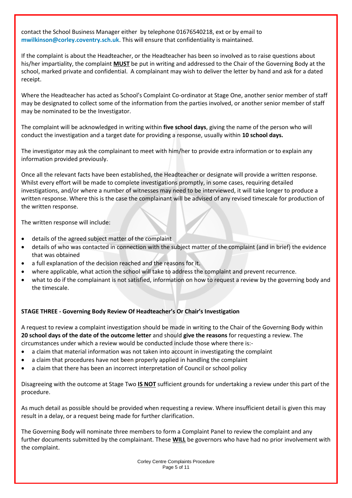contact the School Business Manager either by telephone 01676540218, ext or by email to **[mwilkinson@corley.coventry.sch.uk](mailto:mwilkinson@corley.coventry.sch.uk)**. This will ensure that confidentiality is maintained.

If the complaint is about the Headteacher, or the Headteacher has been so involved as to raise questions about his/her impartiality, the complaint **MUST** be put in writing and addressed to the Chair of the Governing Body at the school, marked private and confidential. A complainant may wish to deliver the letter by hand and ask for a dated receipt.

Where the Headteacher has acted as School's Complaint Co-ordinator at Stage One, another senior member of staff may be designated to collect some of the information from the parties involved, or another senior member of staff may be nominated to be the Investigator.

The complaint will be acknowledged in writing within **five school days**, giving the name of the person who will conduct the investigation and a target date for providing a response, usually within **10 school days.**

The investigator may ask the complainant to meet with him/her to provide extra information or to explain any information provided previously.

Once all the relevant facts have been established, the Headteacher or designate will provide a written response. Whilst every effort will be made to complete investigations promptly, in some cases, requiring detailed investigations, and/or where a number of witnesses may need to be interviewed, it will take longer to produce a written response. Where this is the case the complainant will be advised of any revised timescale for production of the written response.

The written response will include:

- details of the agreed subject matter of the complaint
- details of who was contacted in connection with the subject matter of the complaint (and in brief) the evidence that was obtained
- a full explanation of the decision reached and the reasons for it.
- where applicable, what action the school will take to address the complaint and prevent recurrence.
- what to do if the complainant is not satisfied, information on how to request a review by the governing body and the timescale.

## **STAGE THREE - Governing Body Review Of Headteacher's Or Chair's Investigation**

A request to review a complaint investigation should be made in writing to the Chair of the Governing Body within **20 school days of the date of the outcome letter** and should **give the reasons** for requesting a review. The circumstances under which a review would be conducted include those where there is:-

- a claim that material information was not taken into account in investigating the complaint
- a claim that procedures have not been properly applied in handling the complaint
- a claim that there has been an incorrect interpretation of Council or school policy

Disagreeing with the outcome at Stage Two **IS NOT** sufficient grounds for undertaking a review under this part of the procedure.

As much detail as possible should be provided when requesting a review. Where insufficient detail is given this may result in a delay, or a request being made for further clarification.

The Governing Body will nominate three members to form a Complaint Panel to review the complaint and any further documents submitted by the complainant. These **WILL** be governors who have had no prior involvement with the complaint.

> Corley Centre Complaints Procedure Page 5 of 11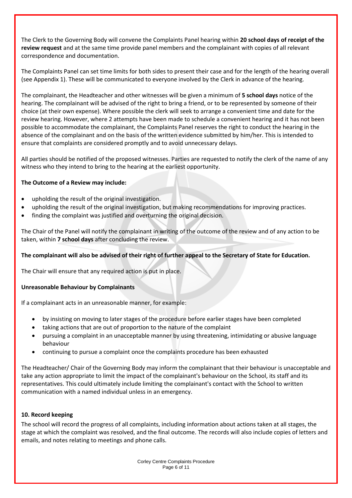The Clerk to the Governing Body will convene the Complaints Panel hearing within **20 school days of receipt of the review request** and at the same time provide panel members and the complainant with copies of all relevant correspondence and documentation.

The Complaints Panel can set time limits for both sides to present their case and for the length of the hearing overall (see Appendix 1). These will be communicated to everyone involved by the Clerk in advance of the hearing.

The complainant, the Headteacher and other witnesses will be given a minimum of **5 school days** notice of the hearing. The complainant will be advised of the right to bring a friend, or to be represented by someone of their choice (at their own expense). Where possible the clerk will seek to arrange a convenient time and date for the review hearing. However, where 2 attempts have been made to schedule a convenient hearing and it has not been possible to accommodate the complainant, the Complaints Panel reserves the right to conduct the hearing in the absence of the complainant and on the basis of the written evidence submitted by him/her. This is intended to ensure that complaints are considered promptly and to avoid unnecessary delays.

All parties should be notified of the proposed witnesses. Parties are requested to notify the clerk of the name of any witness who they intend to bring to the hearing at the earliest opportunity.

## **The Outcome of a Review may include:**

- upholding the result of the original investigation.
- upholding the result of the original investigation, but making recommendations for improving practices.
- finding the complaint was justified and overturning the original decision.

The Chair of the Panel will notify the complainant in writing of the outcome of the review and of any action to be taken, within **7 school days** after concluding the review.

## **The complainant will also be advised of their right of further appeal to the Secretary of State for Education.**

The Chair will ensure that any required action is put in place.

### **Unreasonable Behaviour by Complainants**

If a complainant acts in an unreasonable manner, for example:

- by insisting on moving to later stages of the procedure before earlier stages have been completed
- taking actions that are out of proportion to the nature of the complaint
- pursuing a complaint in an unacceptable manner by using threatening, intimidating or abusive language behaviour
- continuing to pursue a complaint once the complaints procedure has been exhausted

The Headteacher/ Chair of the Governing Body may inform the complainant that their behaviour is unacceptable and take any action appropriate to limit the impact of the complainant's behaviour on the School, its staff and its representatives. This could ultimately include limiting the complainant's contact with the School to written communication with a named individual unless in an emergency.

### **10. Record keeping**

The school will record the progress of all complaints, including information about actions taken at all stages, the stage at which the complaint was resolved, and the final outcome. The records will also include copies of letters and emails, and notes relating to meetings and phone calls.

> Corley Centre Complaints Procedure Page 6 of 11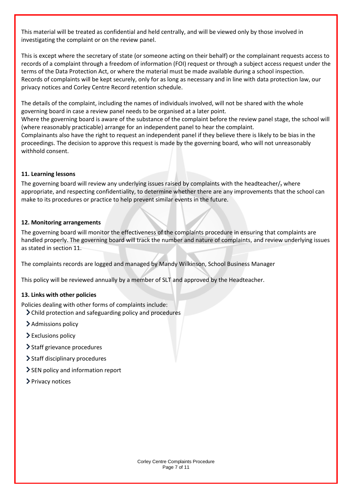This material will be treated as confidential and held centrally, and will be viewed only by those involved in investigating the complaint or on the review panel.

This is except where the secretary of state (or someone acting on their behalf) or the complainant requests access to records of a complaint through a freedom of information (FOI) request or through a subject access request under the terms of the Data Protection Act, or where the material must be made available during a school inspection. Records of complaints will be kept securely, only for as long as necessary and in line with data protection law, our privacy notices and Corley Centre Record retention schedule.

The details of the complaint, including the names of individuals involved, will not be shared with the whole governing board in case a review panel needs to be organised at a later point.

Where the governing board is aware of the substance of the complaint before the review panel stage, the school will (where reasonably practicable) arrange for an independent panel to hear the complaint.

Complainants also have the right to request an independent panel if they believe there is likely to be bias in the proceedings. The decision to approve this request is made by the governing board, who will not unreasonably withhold consent.

## **11. Learning lessons**

The governing board will review any underlying issues raised by complaints with the headteacher/ $<sub>7</sub>$  where</sub> appropriate, and respecting confidentiality, to determine whether there are any improvements that the school can make to its procedures or practice to help prevent similar events in the future.

## **12. Monitoring arrangements**

The governing board will monitor the effectiveness of the complaints procedure in ensuring that complaints are handled properly. The governing board will track the number and nature of complaints, and review underlying issues as stated in section 11.

The complaints records are logged and managed by Mandy Wilkinson, School Business Manager

This policy will be reviewed annually by a member of SLT and approved by the Headteacher.

### **13. Links with other policies**

Policies dealing with other forms of complaints include:

- Child protection and safeguarding policy and procedures
- > Admissions policy
- Exclusions policy
- > Staff grievance procedures
- > Staff disciplinary procedures
- SEN policy and information report
- > Privacy notices

Corley Centre Complaints Procedure Page 7 of 11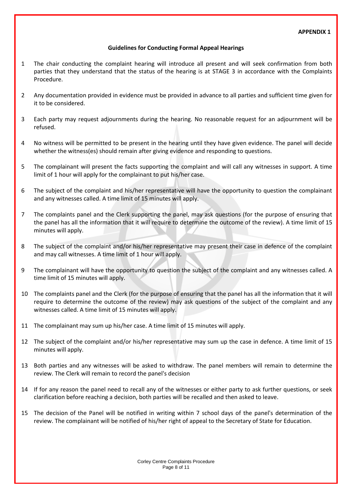## **Guidelines for Conducting Formal Appeal Hearings**

- 1 The chair conducting the complaint hearing will introduce all present and will seek confirmation from both parties that they understand that the status of the hearing is at STAGE 3 in accordance with the Complaints Procedure.
- 2 Any documentation provided in evidence must be provided in advance to all parties and sufficient time given for it to be considered.
- 3 Each party may request adjournments during the hearing. No reasonable request for an adjournment will be refused.
- 4 No witness will be permitted to be present in the hearing until they have given evidence. The panel will decide whether the witness(es) should remain after giving evidence and responding to questions.
- 5 The complainant will present the facts supporting the complaint and will call any witnesses in support. A time limit of 1 hour will apply for the complainant to put his/her case.
- 6 The subject of the complaint and his/her representative will have the opportunity to question the complainant and any witnesses called. A time limit of 15 minutes will apply.
- 7 The complaints panel and the Clerk supporting the panel, may ask questions (for the purpose of ensuring that the panel has all the information that it will require to determine the outcome of the review). A time limit of 15 minutes will apply.
- 8 The subject of the complaint and/or his/her representative may present their case in defence of the complaint and may call witnesses. A time limit of 1 hour will apply.
- 9 The complainant will have the opportunity to question the subject of the complaint and any witnesses called. A time limit of 15 minutes will apply.
- 10 The complaints panel and the Clerk (for the purpose of ensuring that the panel has all the information that it will require to determine the outcome of the review) may ask questions of the subject of the complaint and any witnesses called. A time limit of 15 minutes will apply.
- 11 The complainant may sum up his/her case. A time limit of 15 minutes will apply.
- 12 The subject of the complaint and/or his/her representative may sum up the case in defence. A time limit of 15 minutes will apply.
- 13 Both parties and any witnesses will be asked to withdraw. The panel members will remain to determine the review. The Clerk will remain to record the panel's decision
- 14 If for any reason the panel need to recall any of the witnesses or either party to ask further questions, or seek clarification before reaching a decision, both parties will be recalled and then asked to leave.
- 15 The decision of the Panel will be notified in writing within 7 school days of the panel's determination of the review. The complainant will be notified of his/her right of appeal to the Secretary of State for Education.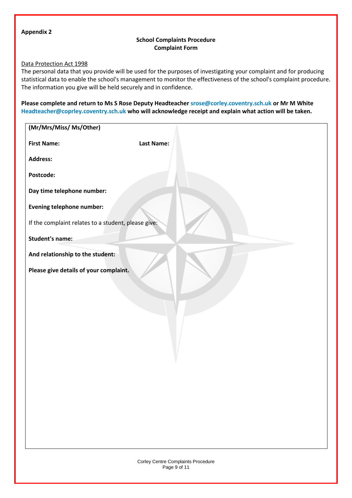#### **Appendix 2**

## **School Complaints Procedure Complaint Form**

## Data Protection Act 1998

The personal data that you provide will be used for the purposes of investigating your complaint and for producing statistical data to enable the school's management to monitor the effectiveness of the school's complaint procedure. The information you give will be held securely and in confidence.

**Please complete and return to Ms S Rose Deputy Headteacher [srose@corley.coventry.sch.uk](mailto:srose@corley.coventry.sch.uk) or Mr M White [Headteacher@coprley.coventry.sch.uk](mailto:Headteacher@coprley.coventry.sch.uk) who will acknowledge receipt and explain what action will be taken.**

| (Mr/Mrs/Miss/ Ms/Other)                             |                   |
|-----------------------------------------------------|-------------------|
| <b>First Name:</b>                                  | <b>Last Name:</b> |
| <b>Address:</b>                                     |                   |
| Postcode:                                           |                   |
| Day time telephone number:                          |                   |
| <b>Evening telephone number:</b>                    |                   |
| If the complaint relates to a student, please give: |                   |
| <b>Student's name:</b>                              |                   |
| And relationship to the student:                    |                   |
| Please give details of your complaint.              |                   |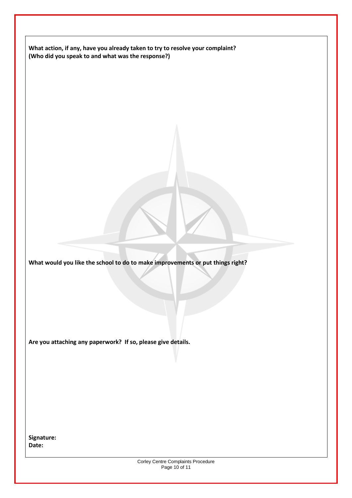**What action, if any, have you already taken to try to resolve your complaint? (Who did you speak to and what was the response?)** 

**What would you like the school to do to make improvements or put things right?**

**Are you attaching any paperwork? If so, please give details.**

**Signature: Date:**